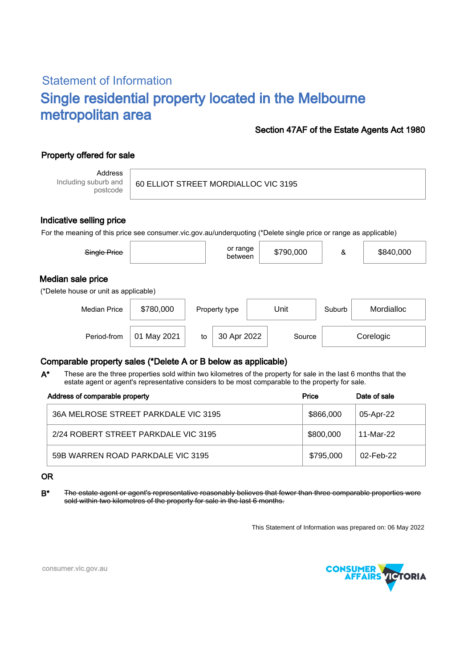# Statement of Information Single residential property located in the Melbourne metropolitan area

#### Section 47AF of the Estate Agents Act 1980

## Property offered for sale

Address Including suburb and postcode

60 ELLIOT STREET MORDIALLOC VIC 3195

#### Indicative selling price

For the meaning of this price see consumer.vic.gov.au/underquoting (\*Delete single price or range as applicable)

| Single Price                                               |           |    | or range<br>between |      | \$790,000 | &      | \$840,000  |  |
|------------------------------------------------------------|-----------|----|---------------------|------|-----------|--------|------------|--|
| Median sale price<br>(*Delete house or unit as applicable) |           |    |                     |      |           |        |            |  |
| <b>Median Price</b>                                        | \$780,000 |    | Property type       | Unit |           | Suburb | Mordialloc |  |
| Period-from                                                | May 2021  | to | 30 Apr 2022         |      | Source    |        | Corelogic  |  |

### Comparable property sales (\*Delete A or B below as applicable)

These are the three properties sold within two kilometres of the property for sale in the last 6 months that the estate agent or agent's representative considers to be most comparable to the property for sale. A\*

| Address of comparable property       | Price     | Date of sale |
|--------------------------------------|-----------|--------------|
| 36A MELROSE STREET PARKDALE VIC 3195 | \$866,000 | 05-Apr-22    |
| 2/24 ROBERT STREET PARKDALE VIC 3195 | \$800,000 | 11-Mar-22    |
| 59B WARREN ROAD PARKDALE VIC 3195    | \$795,000 | 02-Feb-22    |

#### OR

B\* The estate agent or agent's representative reasonably believes that fewer than three comparable properties were sold within two kilometres of the property for sale in the last 6 months.

This Statement of Information was prepared on: 06 May 2022



consumer.vic.gov.au